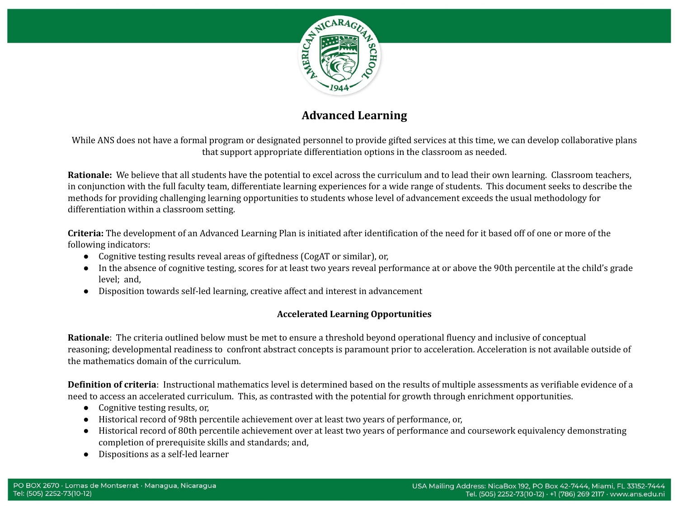

## **Advanced Learning**

While ANS does not have a formal program or designated personnel to provide gifted services at this time, we can develop collaborative plans that support appropriate differentiation options in the classroom as needed.

**Rationale:** We believe that all students have the potential to excel across the curriculum and to lead their own learning. Classroom teachers, in conjunction with the full faculty team, differentiate learning experiences for a wide range of students. This document seeks to describe the methods for providing challenging learning opportunities to students whose level of advancement exceeds the usual methodology for differentiation within a classroom setting.

**Criteria:** The development of an Advanced Learning Plan is initiated after identification of the need for it based off of one or more of the following indicators:

- Cognitive testing results reveal areas of giftedness (CogAT or similar), or,
- In the absence of cognitive testing, scores for at least two years reveal performance at or above the 90th percentile at the child's grade level; and,
- Disposition towards self-led learning, creative affect and interest in advancement

## **Accelerated Learning Opportunities**

**Rationale**: The criteria outlined below must be met to ensure a threshold beyond operational fluency and inclusive of conceptual reasoning; developmental readiness to confront abstract concepts is paramount prior to acceleration. Acceleration is not available outside of the mathematics domain of the curriculum.

**Definition of criteria**: Instructional mathematics level is determined based on the results of multiple assessments as verifiable evidence of a need to access an accelerated curriculum. This, as contrasted with the potential for growth through enrichment opportunities.

- Cognitive testing results, or,
- Historical record of 98th percentile achievement over at least two years of performance, or,
- Historical record of 80th percentile achievement over at least two years of performance and coursework equivalency demonstrating completion of prerequisite skills and standards; and,
- Dispositions as a self-led learner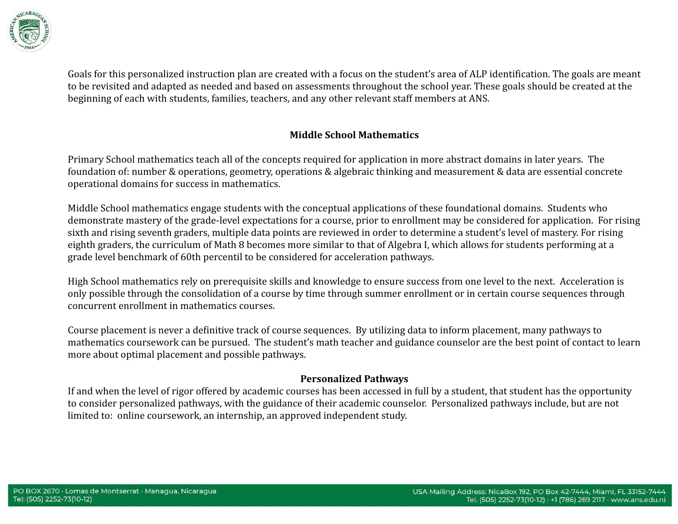

Goals for this personalized instruction plan are created with a focus on the student's area of ALP identification. The goals are meant to be revisited and adapted as needed and based on assessments throughout the school year. These goals should be created at the beginning of each with students, families, teachers, and any other relevant staff members at ANS.

## **Middle School Mathematics**

Primary School mathematics teach all of the concepts required for application in more abstract domains in later years. The foundation of: number & operations, geometry, operations & algebraic thinking and measurement & data are essential concrete operational domains for success in mathematics.

Middle School mathematics engage students with the conceptual applications of these foundational domains. Students who demonstrate mastery of the grade-level expectations for a course, prior to enrollment may be considered for application. For rising sixth and rising seventh graders, multiple data points are reviewed in order to determine a student's level of mastery. For rising eighth graders, the curriculum of Math 8 becomes more similar to that of Algebra I, which allows for students performing at a grade level benchmark of 60th percentil to be considered for acceleration pathways.

High School mathematics rely on prerequisite skills and knowledge to ensure success from one level to the next. Acceleration is only possible through the consolidation of a course by time through summer enrollment or in certain course sequences through concurrent enrollment in mathematics courses.

Course placement is never a definitive track of course sequences. By utilizing data to inform placement, many pathways to mathematics coursework can be pursued. The student's math teacher and guidance counselor are the best point of contact to learn more about optimal placement and possible pathways.

## **Personalized Pathways**

If and when the level of rigor offered by academic courses has been accessed in full by a student, that student has the opportunity to consider personalized pathways, with the guidance of their academic counselor. Personalized pathways include, but are not limited to: online coursework, an internship, an approved independent study.